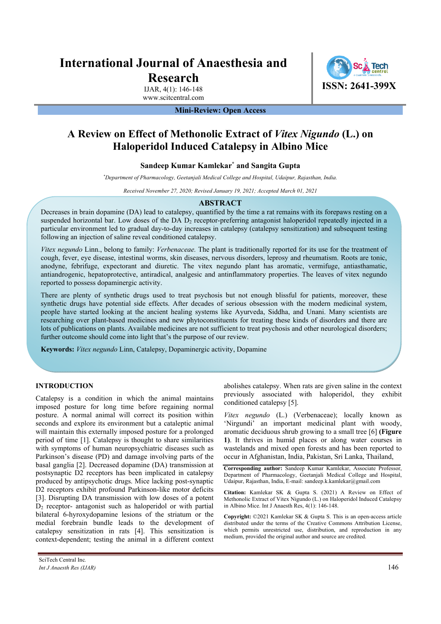# **International Journal of Anaesthesia and Research**

IJAR, 4(1): 146-148 www.scitcentral.com **ISSN: 2641-399X**

## **Mini-Review: Open Access**

## **A Review on Effect of Methonolic Extract of** *Vitex Nigundo* **(L.) on Haloperidol Induced Catalepsy in Albino Mice**

## **Sandeep Kumar Kamlekar\* and Sangita Gupta**

*\* Department of Pharmacology, Geetanjali Medical College and Hospital, Udaipur, Rajasthan, India.*

*Received November 27, 2020; Revised January 19, 2021; Accepted March 01, 2021* 

#### **ABSTRACT**

Decreases in brain dopamine (DA) lead to catalepsy, quantified by the time a rat remains with its forepaws resting on a suspended horizontal bar. Low doses of the DA  $D_2$  receptor-preferring antagonist haloperidol repeatedly injected in a particular environment led to gradual day-to-day increases in catalepsy (catalepsy sensitization) and subsequent testing following an injection of saline reveal conditioned catalepsy.

*Vitex negundo* Linn., belong to family: *Verbenaceae.* The plant is traditionally reported for its use for the treatment of cough, fever, eye disease, intestinal worms, skin diseases, nervous disorders, leprosy and rheumatism. Roots are tonic, anodyne, febrifuge, expectorant and diuretic. The vitex negundo plant has aromatic, vermifuge, antiasthamatic, antiandrogenic, hepatoprotective, antiradical, analgesic and antinflammatory properties. The leaves of vitex negundo reported to possess dopaminergic activity.

There are plenty of synthetic drugs used to treat psychosis but not enough blissful for patients, moreover, these synthetic drugs have potential side effects. After decades of serious obsession with the modern medicinal system, people have started looking at the ancient healing systems like Ayurveda, Siddha, and Unani. Many scientists are researching over plant-based medicines and new phytoconstituents for treating these kinds of disorders and there are lots of publications on plants. Available medicines are not sufficient to treat psychosis and other neurological disorders; further outcome should come into light that's the purpose of our review.

**Keywords:** *Vitex negundo* Linn, Catalepsy, Dopaminergic activity, Dopamine

## **INTRODUCTION**

Catalepsy is a condition in which the animal maintains imposed posture for long time before regaining normal posture. A normal animal will correct its position within seconds and explore its environment but a cataleptic animal will maintain this externally imposed posture for a prolonged period of time [1]. Catalepsy is thought to share similarities with symptoms of human neuropsychiatric diseases such as Parkinson's disease (PD) and damage involving parts of the basal ganglia [2]. Decreased dopamine (DA) transmission at postsynaptic D2 receptors has been implicated in catalepsy produced by antipsychotic drugs. Mice lacking post-synaptic D2 receptors exhibit profound Parkinson-like motor deficits [3]. Disrupting DA transmission with low doses of a potent  $D<sub>2</sub>$  receptor- antagonist such as haloperidol or with partial bilateral 6-hyroxydopamine lesions of the striatum or the medial forebrain bundle leads to the development of catalepsy sensitization in rats [4]. This sensitization is context-dependent; testing the animal in a different context

abolishes catalepsy. When rats are given saline in the context previously associated with haloperidol, they exhibit conditioned catalepsy [5].

*Vitex negundo* (L.) (Verbenaceae); locally known as 'Nirgundi' an important medicinal plant with woody, aromatic deciduous shrub growing to a small tree [6] **(Figure 1)**. It thrives in humid places or along water courses in wastelands and mixed open forests and has been reported to occur in Afghanistan, India, Pakistan, Sri Lanka, Thailand,

**Citation:** Kamlekar SK & Gupta S. (2021) A Review on Effect of Methonolic Extract of Vitex Nigundo (L.) on Haloperidol Induced Catalepsy in Albino Mice. Int J Anaesth Res, 4(1): 146-148.

**Copyright:** ©2021 Kamlekar SK & Gupta S. This is an open-access article distributed under the terms of the Creative Commons Attribution License, which permits unrestricted use, distribution, and reproduction in any medium, provided the original author and source are credited.

**Corresponding author:** Sandeep Kumar Kamlekar, Associate Professor, Department of Pharmacology, Geetanjali Medical College and Hospital, Udaipur, Rajasthan, India, E-mail: sandeep.k.kamlekar@gmail.com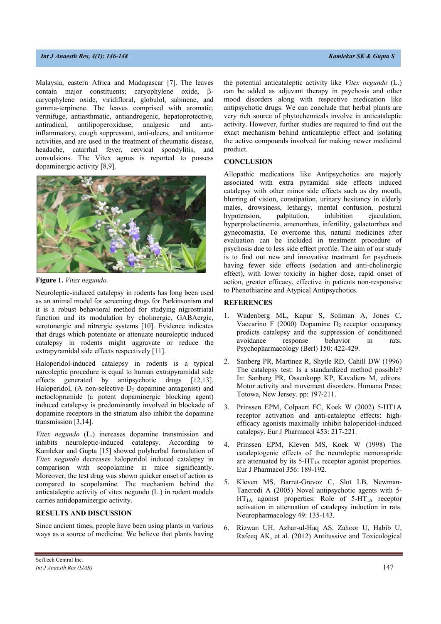## *Int J Anaesth Res, 4(1): 146-148* Kamlekar SK & Gupta SK & Gupta SK & Gupta SK & Gupta SK & Gupta SK & Gupta SK & Gupta SK & Gupta SK & Gupta SK & Gupta SK & Gupta SK & Gupta SK & Gupta SK & Gupta SK & Gupta SK & Gupta

Malaysia, eastern Africa and Madagascar [7]. The leaves contain major constituents; caryophylene oxide,  $\beta$ caryophylene oxide, viridifloral, globulol, sabinene, and gamma-terpinene. The leaves comprised with aromatic, vermifuge, antiasthmatic, antiandrogenic, hepatoprotective, antiradical, antilipoperoxidase, analgesic and antiinflammatory, cough suppressant, anti-ulcers, and antitumor activities, and are used in the treatment of rheumatic disease, headache, catarrhal fever, cervical spondylitis, and convulsions. The Vitex agnus is reported to possess dopaminergic activity [8,9].



**Figure 1.** *Vitex negundo.* 

Neuroleptic-induced catalepsy in rodents has long been used as an animal model for screening drugs for Parkinsonism and it is a robust behavioral method for studying nigrostriatal function and its modulation by cholinergic, GABAergic, serotonergic and nitrergic systems [10]. Evidence indicates that drugs which potentiate or attenuate neuroleptic induced catalepsy in rodents might aggravate or reduce the extrapyramidal side effects respectively [11].

Haloperidol-induced catalepsy in rodents is a typical narcoleptic procedure is equal to human extrapyramidal side effects generated by antipsychotic drugs [12,13]. Haloperidol, (A non-selective  $D_2$  dopamine antagonist) and metoclopramide (a potent dopaminergic blocking agent) induced catalepsy is predominantly involved in blockade of dopamine receptors in the striatum also inhibit the dopamine transmission [3,14].

*Vitex negundo* (L.) increases dopamine transmission and inhibits neuroleptic-induced catalepsy. According to Kamlekar and Gupta [15] showed polyherbal formulation of *Vitex negundo* decreases haloperidol induced catalepsy in comparison with scopolamine in mice significantly. Moreover, the test drug was shown quicker onset of action as compared to scopolamine. The mechanism behind the anticataleptic activity of vitex negundo (L.) in rodent models carries antidopaminergic activity.

## **RESULTS AND DISCUSSION**

Since ancient times, people have been using plants in various ways as a source of medicine. We believe that plants having the potential anticataleptic activity like *Vitex negundo* (L.) can be added as adjuvant therapy in psychosis and other mood disorders along with respective medication like antipsychotic drugs. We can conclude that herbal plants are very rich source of phytochemicals involve in anticataleptic activity. However, further studies are required to find out the exact mechanism behind anticataleptic effect and isolating the active compounds involved for making newer medicinal product.

## **CONCLUSION**

Allopathic medications like Antipsychotics are majorly associated with extra pyramidal side effects induced catalepsy with other minor side effects such as dry mouth, blurring of vision, constipation, urinary hesitancy in elderly males, drowsiness, lethargy, mental confusion, postural hypotension, palpitation, inhibition ejaculation, hyperprolactinemia, amenorrhea, infertility, galactorrhea and gynecomastia. To overcome this, natural medicines after evaluation can be included in treatment procedure of psychosis due to less side effect profile. The aim of our study is to find out new and innovative treatment for psychosis having fewer side effects (sedation and anti-cholinergic effect), with lower toxicity in higher dose, rapid onset of action, greater efficacy, effective in patients non-responsive to Phenothiazine and Atypical Antipsychotics.

## **REFERENCES**

- 1. Wadenberg ML, Kapur S, Soliman A, Jones C, Vaccarino F (2000) Dopamine  $D_2$  receptor occupancy predicts catalepsy and the suppression of conditioned avoidance response behavior in rats. Psychopharmacology (Berl) 150: 422-429.
- 2. Sanberg PR, Martinez R, Shytle RD, Cahill DW (1996) The catalepsy test: Is a standardized method possible? In: Sanberg PR, Ossenkopp KP, Kavaliers M, editors. Motor activity and movement disorders. Humana Press; Totowa, New Jersey. pp: 197-211.
- 3. Prinssen EPM, Colpaert FC, Koek W (2002) 5-HT1A receptor activation and anti-cataleptic effects: highefficacy agonists maximally inhibit haloperidol-induced catalepsy. Eur J Pharmacol 453: 217-221.
- 4. Prinssen EPM, Kleven MS, Koek W (1998) The cataleptogenic effects of the neuroleptic nemonapride are attenuated by its  $5-HT<sub>1A</sub>$  receptor agonist properties. Eur J Pharmacol 356: 189-192.
- 5. Kleven MS, Barret-Grevoz C, Slot LB, Newman-Tancredi A (2005) Novel antipsychotic agents with 5-  $HT<sub>1A</sub>$  agonist properties: Role of 5-HT<sub>1A</sub> receptor activation in attenuation of catalepsy induction in rats. Neuropharmacology 49: 135-143.
- 6. Rizwan UH, Azhar-ul-Haq AS, Zahoor U, Habib U, Rafeeq AK, et al. (2012) Antitussive and Toxicological